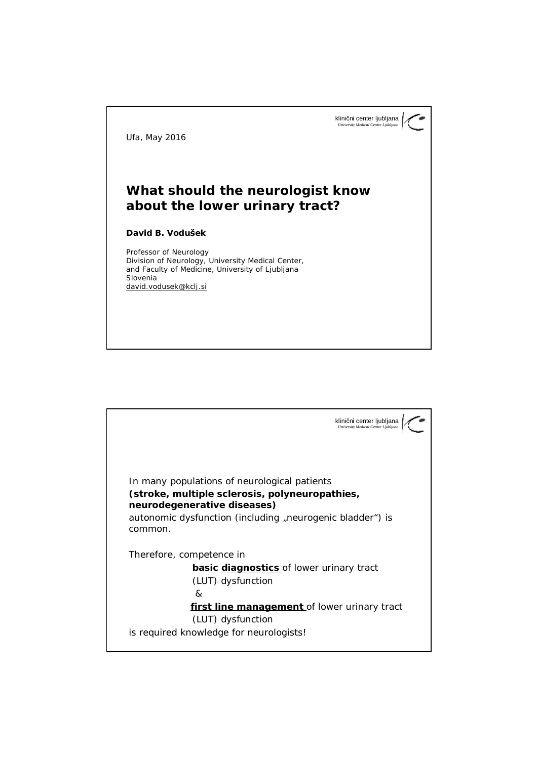klinični center ljubljana *University Medical Centre Ljubljana*

*Ufa, May 2016*

## **What should the neurologist know about the lower urinary tract?**

**David B. Vodušek**

*Professor of Neurology* Division of Neurology, University Medical Center, and Faculty of Medicine, University of Ljubljana Slovenia [david.vodusek@kclj.si](mailto:david.vodusek@kclj.si)

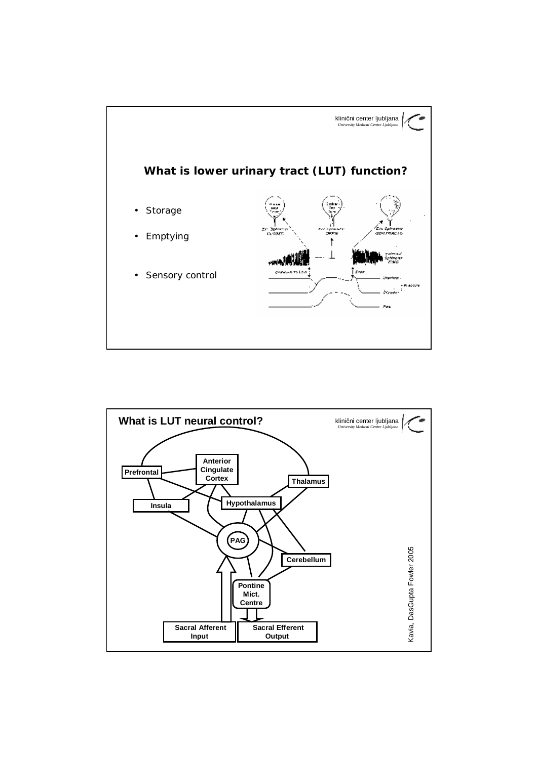

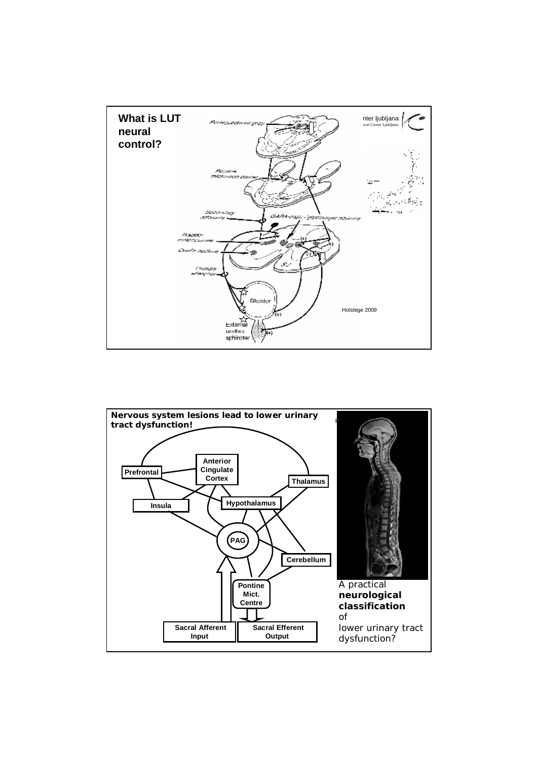

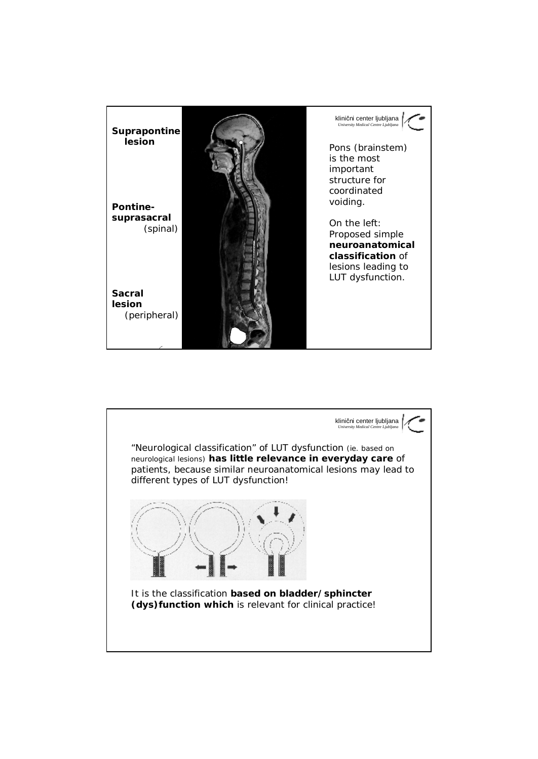

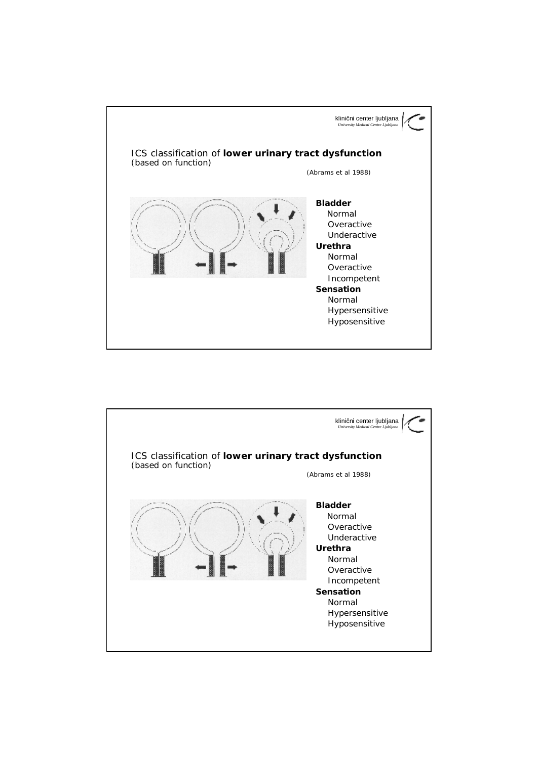

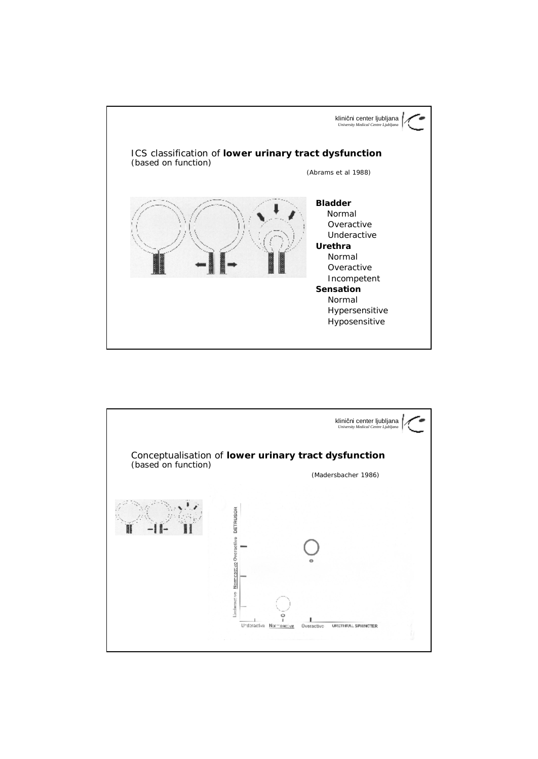

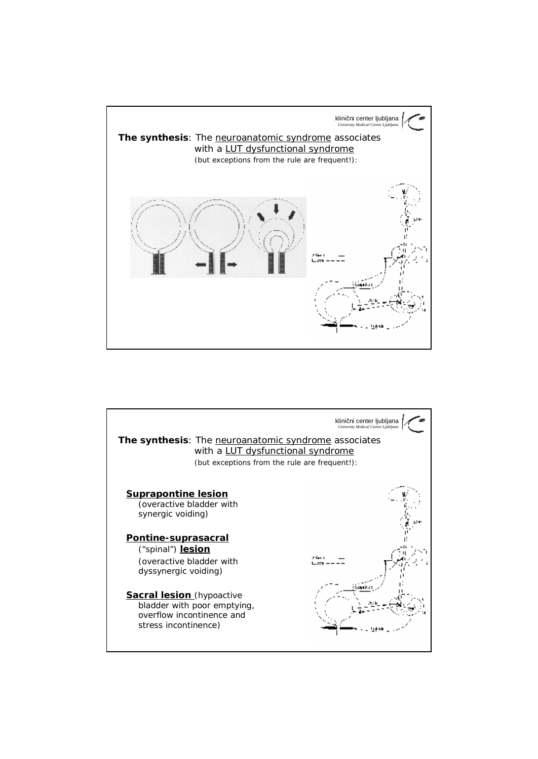

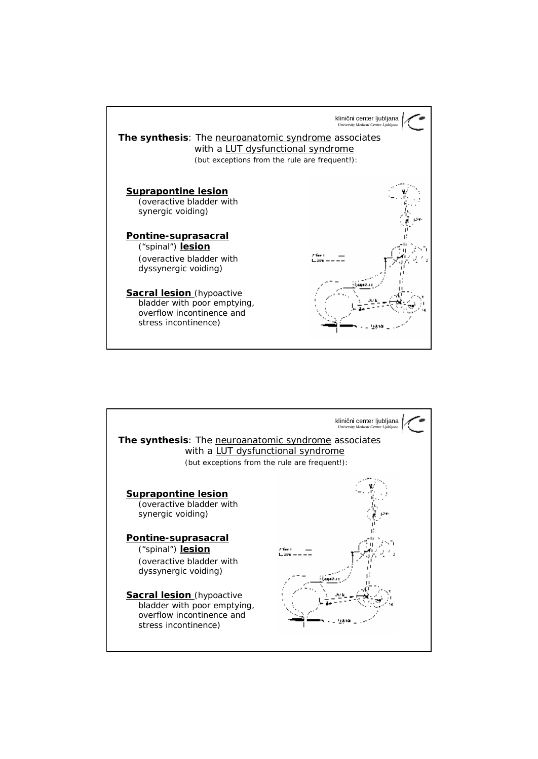

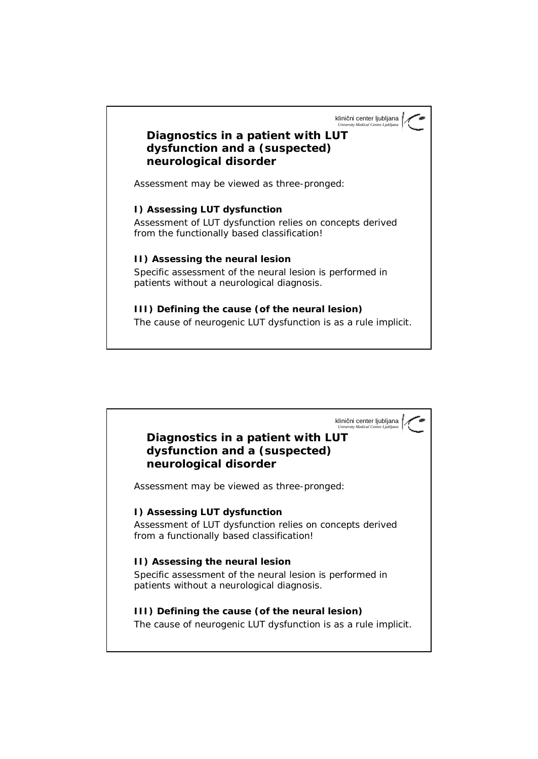klinični center ljubljana *University Medical Centre Ljubljana*

## **Diagnostics in a patient with LUT dysfunction and a (suspected) neurological disorder**

*Assessment may be viewed as three-pronged:*

**I) Assessing LUT dysfunction** *Assessment of LUT dysfunction relies on concepts derived from the functionally based classification!* 

**II) Assessing the neural lesion** *Specific assessment of the neural lesion is performed in patients without a neurological diagnosis.*

**III) Defining the cause (of the neural lesion)** *The cause of neurogenic LUT dysfunction is as a rule implicit.*

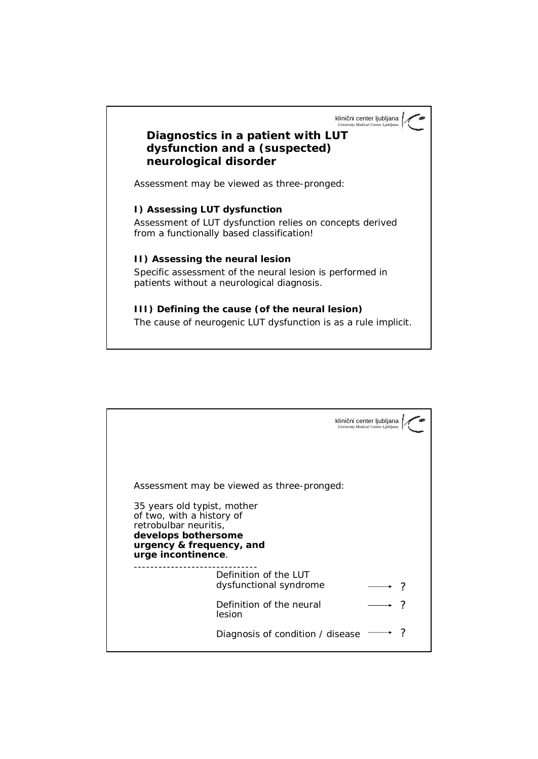klinični center ljubljana *University Medical Centre Ljubljana*

## **Diagnostics in a patient with LUT dysfunction and a (suspected) neurological disorder**

*Assessment may be viewed as three-pronged:*

**I) Assessing LUT dysfunction** *Assessment of LUT dysfunction relies on concepts derived from a functionally based classification!* 

**II) Assessing the neural lesion** *Specific assessment of the neural lesion is performed in patients without a neurological diagnosis.*

**III) Defining the cause (of the neural lesion)** *The cause of neurogenic LUT dysfunction is as a rule implicit.*

|                                                                                                                                                            | klinični center ljubljana<br>University Medical Centre Ljubljana |  |
|------------------------------------------------------------------------------------------------------------------------------------------------------------|------------------------------------------------------------------|--|
|                                                                                                                                                            |                                                                  |  |
| Assessment may be viewed as three-pronged:                                                                                                                 |                                                                  |  |
| 35 years old typist, mother<br>of two, with a history of<br>retrobulbar neuritis,<br>develops bothersome<br>urgency & frequency, and<br>urge incontinence. |                                                                  |  |
| Definition of the LUT<br>dysfunctional syndrome                                                                                                            |                                                                  |  |
| Definition of the neural<br>lesion                                                                                                                         |                                                                  |  |
| Diagnosis of condition / disease                                                                                                                           |                                                                  |  |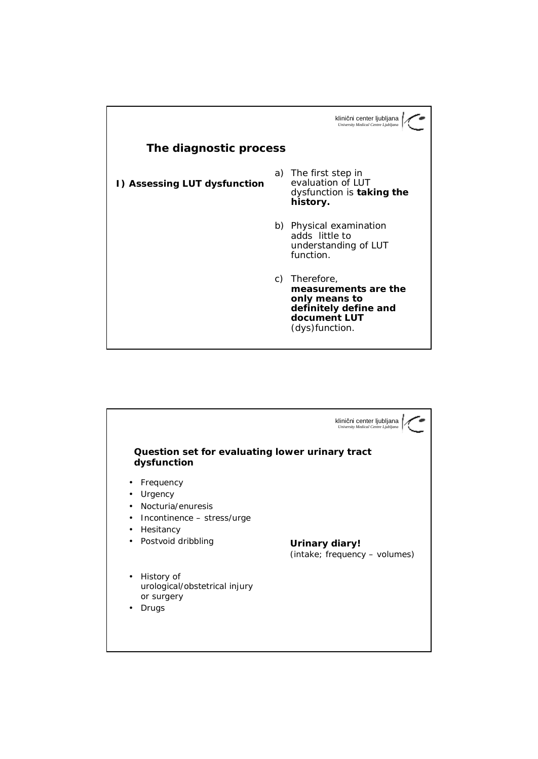

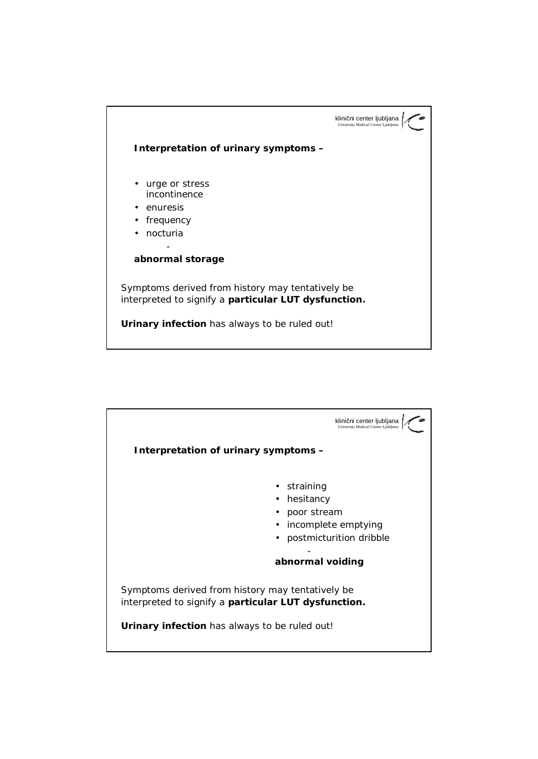

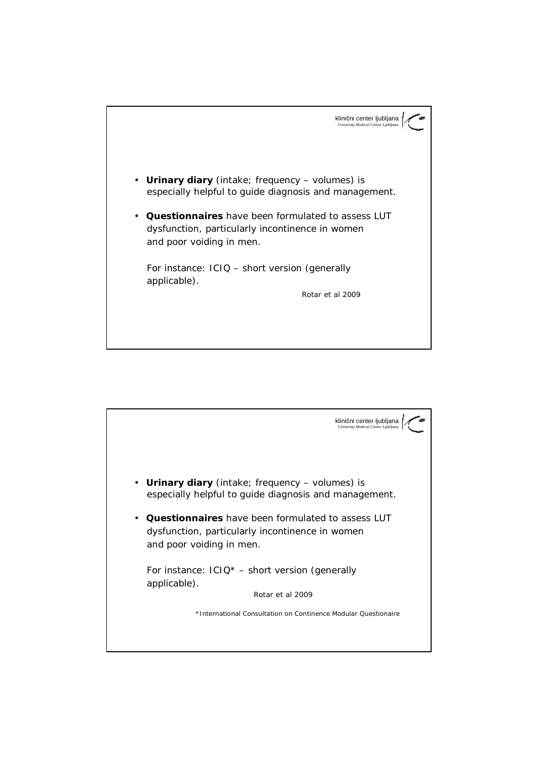

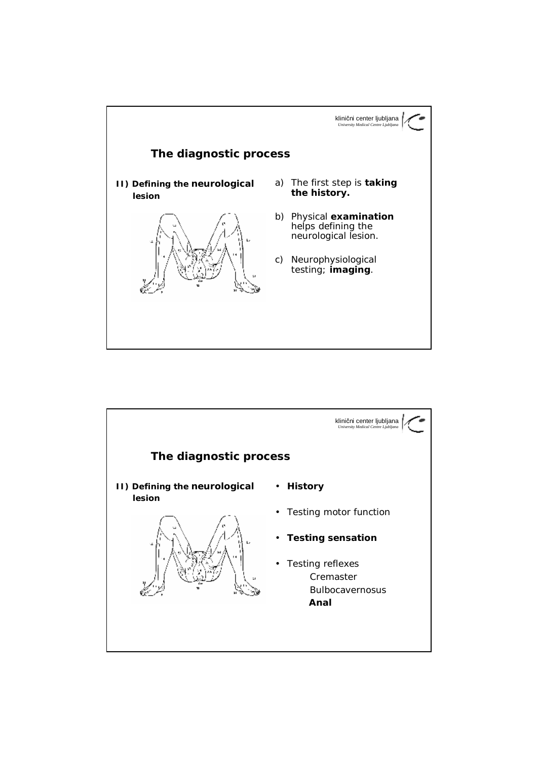

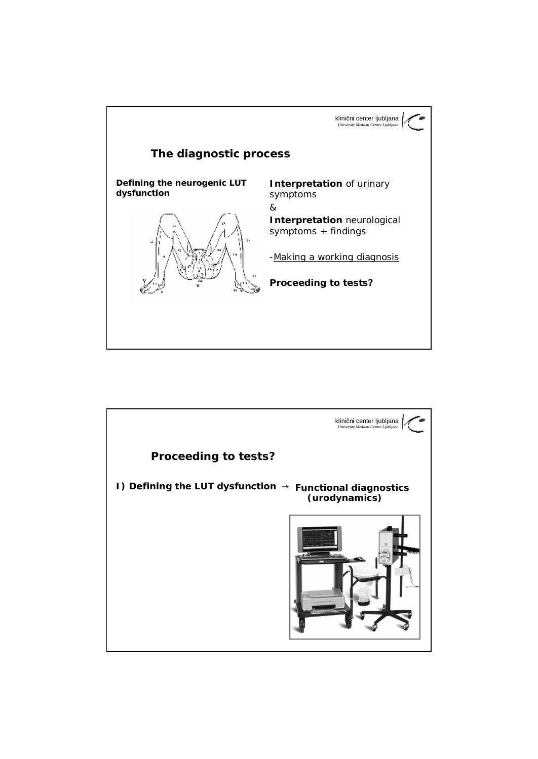

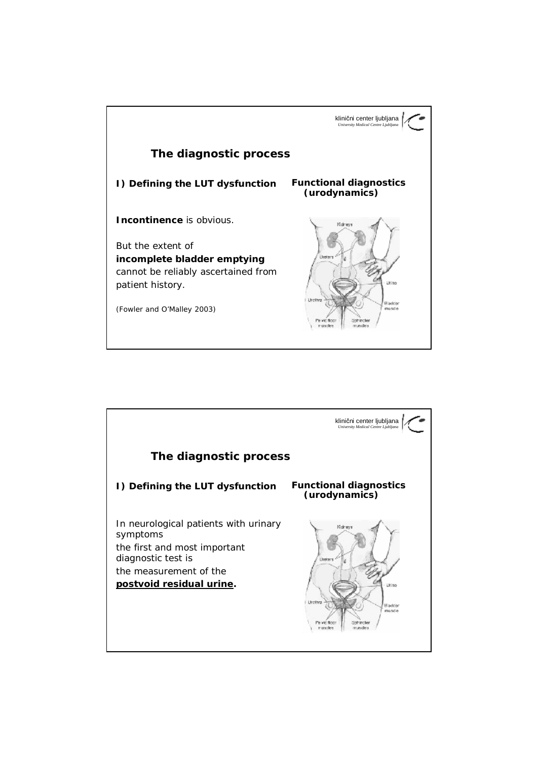

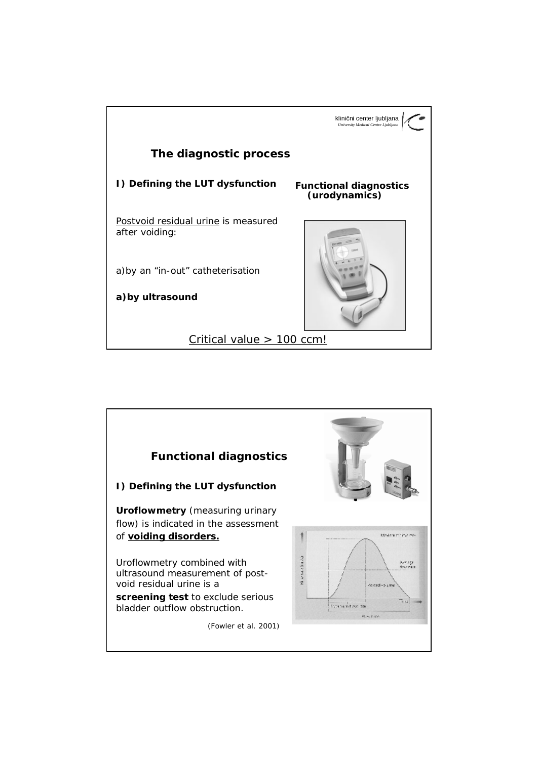

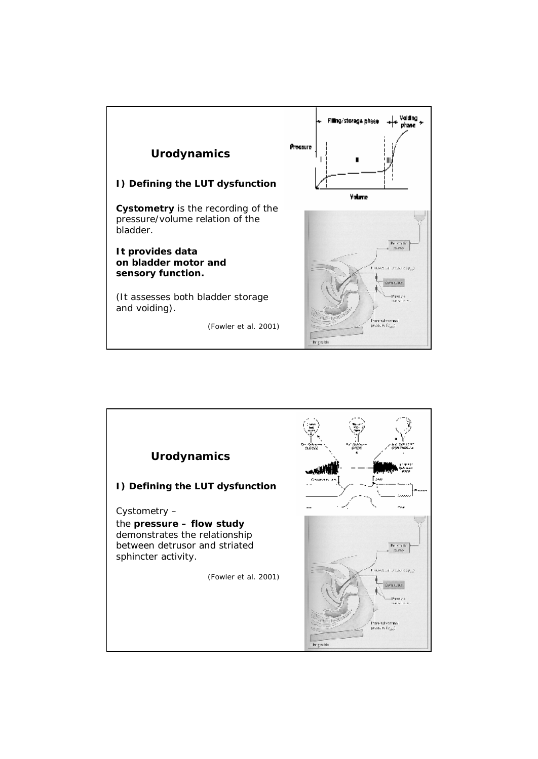

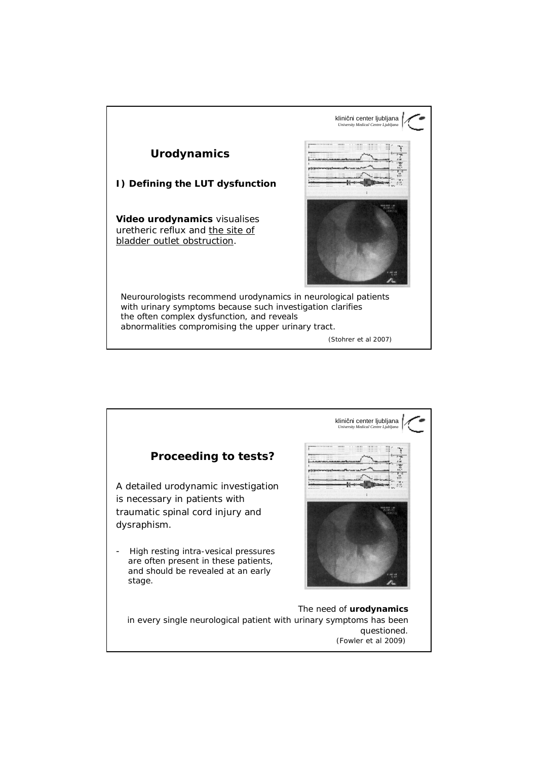

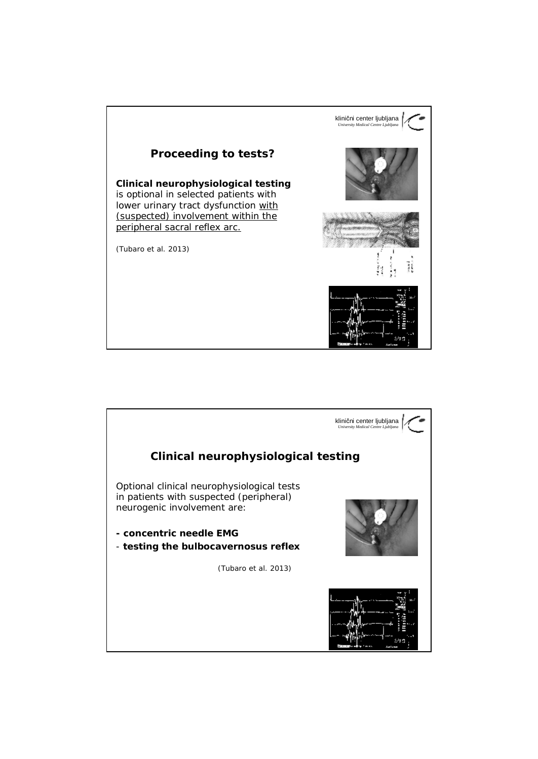

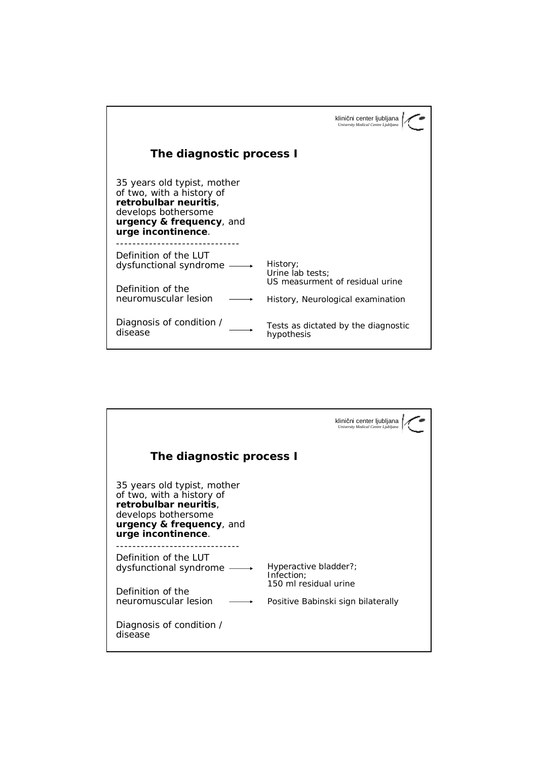|                                                                                                                                                            | klinični center ljubljana<br>University Medical Centre Ljubljana                                     |
|------------------------------------------------------------------------------------------------------------------------------------------------------------|------------------------------------------------------------------------------------------------------|
| The diagnostic process I                                                                                                                                   |                                                                                                      |
| 35 years old typist, mother<br>of two, with a history of<br>retrobulbar neuritis,<br>develops bothersome<br>urgency & frequency, and<br>urge incontinence. |                                                                                                      |
| Definition of the LUT<br>dysfunctional syndrome<br>Definition of the<br>neuromuscular lesion                                                               | History;<br>Urine lab tests;<br>US measurment of residual urine<br>History, Neurological examination |
| Diagnosis of condition /<br>disease                                                                                                                        | Tests as dictated by the diagnostic<br>hypothesis                                                    |

|                                                                                                                                                            | klinični center ljubljana<br>University Medical Centre Ljubljana |  |  |  |
|------------------------------------------------------------------------------------------------------------------------------------------------------------|------------------------------------------------------------------|--|--|--|
| The diagnostic process I                                                                                                                                   |                                                                  |  |  |  |
| 35 years old typist, mother<br>of two, with a history of<br>retrobulbar neuritis,<br>develops bothersome<br>urgency & frequency, and<br>urge incontinence. |                                                                  |  |  |  |
| Definition of the LUT<br>dysfunctional syndrome                                                                                                            | Hyperactive bladder?;<br>Infection;                              |  |  |  |
| Definition of the<br>neuromuscular lesion                                                                                                                  | 150 ml residual urine<br>Positive Babinski sign bilaterally      |  |  |  |
| Diagnosis of condition /<br>disease                                                                                                                        |                                                                  |  |  |  |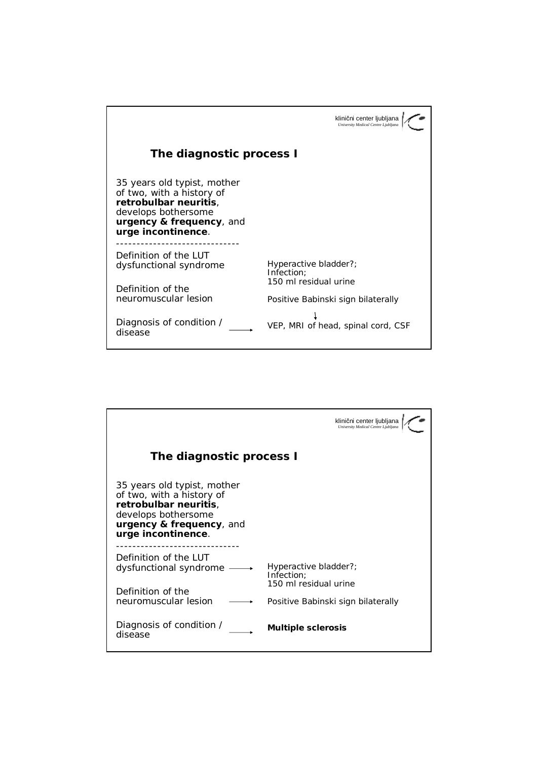|                                                                                                                                                            | klinični center ljubljana                                    |
|------------------------------------------------------------------------------------------------------------------------------------------------------------|--------------------------------------------------------------|
|                                                                                                                                                            | University Medical Centre Ljubljana                          |
| The diagnostic process I                                                                                                                                   |                                                              |
| 35 years old typist, mother<br>of two, with a history of<br>retrobulbar neuritis,<br>develops bothersome<br>urgency & frequency, and<br>urge incontinence. |                                                              |
| Definition of the LUT<br>dysfunctional syndrome<br>Definition of the                                                                                       | Hyperactive bladder?;<br>Infection;<br>150 ml residual urine |
| neuromuscular lesion                                                                                                                                       | Positive Babinski sign bilaterally                           |
| Diagnosis of condition /<br>disease                                                                                                                        | VEP, MRI of head, spinal cord, CSF                           |

|                                                                                                                                                            | klinični center ljubljana<br>University Medical Centre Ljubljana                                   |  |
|------------------------------------------------------------------------------------------------------------------------------------------------------------|----------------------------------------------------------------------------------------------------|--|
| The diagnostic process I                                                                                                                                   |                                                                                                    |  |
| 35 years old typist, mother<br>of two, with a history of<br>retrobulbar neuritis,<br>develops bothersome<br>urgency & frequency, and<br>urge incontinence. |                                                                                                    |  |
| Definition of the LUT<br>dysfunctional syndrome<br>Definition of the<br>neuromuscular lesion                                                               | Hyperactive bladder?;<br>Infection:<br>150 ml residual urine<br>Positive Babinski sign bilaterally |  |
| Diagnosis of condition /<br>disease                                                                                                                        | <b>Multiple sclerosis</b>                                                                          |  |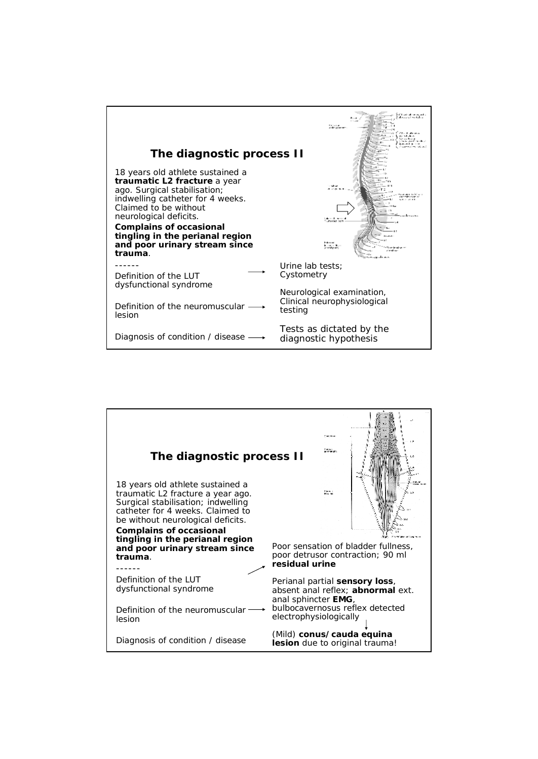